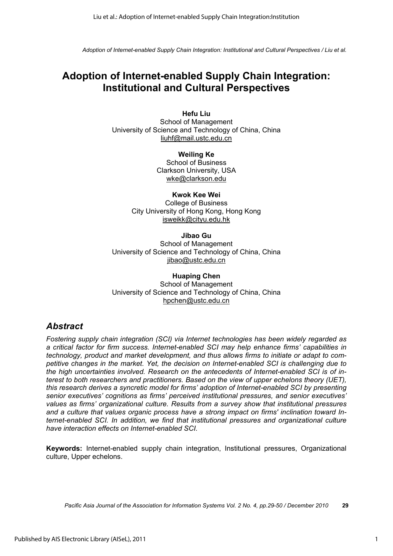# **Adoption of Internet-enabled Supply Chain Integration: Institutional and Cultural Perspectives**

**Hefu Liu**  School of Management University of Science and Technology of China, China liuhf@mail.ustc.edu.cn

> **Weiling Ke**  School of Business Clarkson University, USA wke@clarkson.edu

**Kwok Kee Wei**  College of Business City University of Hong Kong, Hong Kong isweikk@cityu.edu.hk

**Jibao Gu**  School of Management University of Science and Technology of China, China jibao@ustc.edu.cn

**Huaping Chen**  School of Management University of Science and Technology of China, China hpchen@ustc.edu.cn

# *Abstract*

*Fostering supply chain integration (SCI) via Internet technologies has been widely regarded as a critical factor for firm success. Internet-enabled SCI may help enhance firms' capabilities in technology, product and market development, and thus allows firms to initiate or adapt to competitive changes in the market. Yet, the decision on Internet-enabled SCI is challenging due to the high uncertainties involved. Research on the antecedents of Internet-enabled SCI is of interest to both researchers and practitioners. Based on the view of upper echelons theory (UET), this research derives a syncretic model for firms' adoption of Internet-enabled SCI by presenting senior executives' cognitions as firms' perceived institutional pressures, and senior executives' values as firms' organizational culture. Results from a survey show that institutional pressures and a culture that values organic process have a strong impact on firms' inclination toward Internet-enabled SCI. In addition, we find that institutional pressures and organizational culture have interaction effects on Internet-enabled SCI.* 

**Keywords:** Internet-enabled supply chain integration, Institutional pressures, Organizational culture, Upper echelons.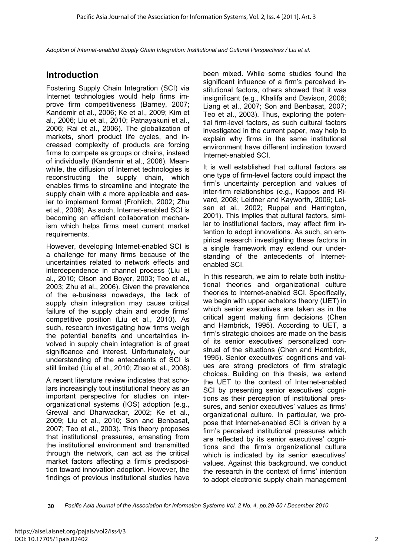## **Introduction**

Fostering Supply Chain Integration (SCI) via Internet technologies would help firms improve firm competitiveness (Barney, 2007; Kandemir et al., 2006; Ke et al., 2009; Kim et al., 2006; Liu et al., 2010; Patnayakuni et al., 2006; Rai et al., 2006). The globalization of markets, short product life cycles, and increased complexity of products are forcing firms to compete as groups or chains, instead of individually (Kandemir et al., 2006). Meanwhile, the diffusion of Internet technologies is reconstructing the supply chain, which enables firms to streamline and integrate the supply chain with a more applicable and easier to implement format (Frohlich, 2002; Zhu et al., 2006). As such, Internet-enabled SCI is becoming an efficient collaboration mechanism which helps firms meet current market requirements.

However, developing Internet-enabled SCI is a challenge for many firms because of the uncertainties related to network effects and interdependence in channel process (Liu et al., 2010; Olson and Boyer, 2003; Teo et al., 2003; Zhu et al., 2006). Given the prevalence of the e-business nowadays, the lack of supply chain integration may cause critical failure of the supply chain and erode firms' competitive position (Liu et al., 2010). As such, research investigating how firms weigh the potential benefits and uncertainties involved in supply chain integration is of great significance and interest. Unfortunately, our understanding of the antecedents of SCI is still limited (Liu et al., 2010; Zhao et al., 2008).

A recent literature review indicates that scholars increasingly tout institutional theory as an important perspective for studies on interorganizational systems (IOS) adoption (e.g., Grewal and Dharwadkar, 2002; Ke et al., 2009; Liu et al., 2010; Son and Benbasat, 2007; Teo et al., 2003). This theory proposes that institutional pressures, emanating from the institutional environment and transmitted through the network, can act as the critical market factors affecting a firm's predisposition toward innovation adoption. However, the findings of previous institutional studies have

been mixed. While some studies found the significant influence of a firm's perceived institutional factors, others showed that it was insignificant (e.g., Khalifa and Davison, 2006; Liang et al., 2007; Son and Benbasat, 2007; Teo et al., 2003). Thus, exploring the potential firm-level factors, as such cultural factors investigated in the current paper, may help to explain why firms in the same institutional environment have different inclination toward Internet-enabled SCI.

It is well established that cultural factors as one type of firm-level factors could impact the firm's uncertainty perception and values of inter-firm relationships (e.g., Kappos and Rivard, 2008; Leidner and Kayworth, 2006; Leisen et al., 2002; Ruppel and Harrington, 2001). This implies that cultural factors, similar to institutional factors, may affect firm intention to adopt innovations. As such, an empirical research investigating these factors in a single framework may extend our understanding of the antecedents of Internetenabled SCI.

In this research, we aim to relate both institutional theories and organizational culture theories to Internet-enabled SCI. Specifically, we begin with upper echelons theory (UET) in which senior executives are taken as in the critical agent making firm decisions (Chen and Hambrick, 1995). According to UET, a firm's strategic choices are made on the basis of its senior executives' personalized construal of the situations (Chen and Hambrick, 1995). Senior executives' cognitions and values are strong predictors of firm strategic choices. Building on this thesis, we extend the UET to the context of Internet-enabled SCI by presenting senior executives' cognitions as their perception of institutional pressures, and senior executives' values as firms' organizational culture. In particular, we propose that Internet-enabled SCI is driven by a firm's perceived institutional pressures which are reflected by its senior executives' cognitions and the firm's organizational culture which is indicated by its senior executives' values. Against this background, we conduct the research in the context of firms' intention to adopt electronic supply chain management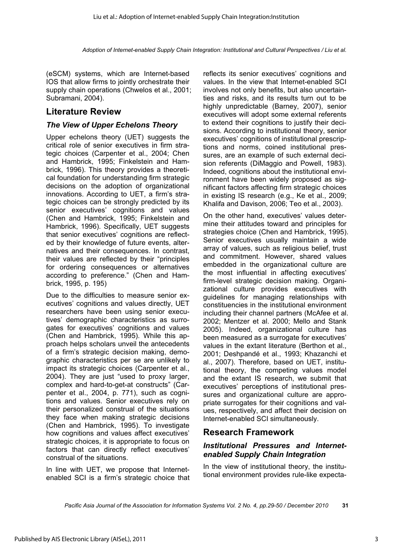(eSCM) systems, which are Internet-based IOS that allow firms to jointly orchestrate their supply chain operations (Chwelos et al., 2001; Subramani, 2004).

## **Literature Review**

### *The View of Upper Echelons Theory*

Upper echelons theory (UET) suggests the critical role of senior executives in firm strategic choices (Carpenter et al., 2004; Chen and Hambrick, 1995; Finkelstein and Hambrick, 1996). This theory provides a theoretical foundation for understanding firm strategic decisions on the adoption of organizational innovations. According to UET, a firm's strategic choices can be strongly predicted by its senior executives' cognitions and values (Chen and Hambrick, 1995; Finkelstein and Hambrick, 1996). Specifically, UET suggests that senior executives' cognitions are reflected by their knowledge of future events, alternatives and their consequences. In contrast, their values are reflected by their "principles for ordering consequences or alternatives according to preference." (Chen and Hambrick, 1995, p. 195)

Due to the difficulties to measure senior executives' cognitions and values directly, UET researchers have been using senior executives' demographic characteristics as surrogates for executives' cognitions and values (Chen and Hambrick, 1995). While this approach helps scholars unveil the antecedents of a firm's strategic decision making, demographic characteristics per se are unlikely to impact its strategic choices (Carpenter et al., 2004). They are just "used to proxy larger, complex and hard-to-get-at constructs" (Carpenter et al., 2004, p. 771), such as cognitions and values. Senior executives rely on their personalized construal of the situations they face when making strategic decisions (Chen and Hambrick, 1995). To investigate how cognitions and values affect executives' strategic choices, it is appropriate to focus on factors that can directly reflect executives' construal of the situations.

In line with UET, we propose that Internetenabled SCI is a firm's strategic choice that reflects its senior executives' cognitions and values. In the view that Internet-enabled SCI involves not only benefits, but also uncertainties and risks, and its results turn out to be highly unpredictable (Barney, 2007), senior executives will adopt some external referents to extend their cognitions to justify their decisions. According to institutional theory, senior executives' cognitions of institutional prescriptions and norms, coined institutional pressures, are an example of such external decision referents (DiMaggio and Powell, 1983). Indeed, cognitions about the institutional environment have been widely proposed as significant factors affecting firm strategic choices in existing IS research (e.g., Ke et al., 2009; Khalifa and Davison, 2006; Teo et al., 2003).

On the other hand, executives' values determine their attitudes toward and principles for strategies choice (Chen and Hambrick, 1995). Senior executives usually maintain a wide array of values, such as religious belief, trust and commitment. However, shared values embedded in the organizational culture are the most influential in affecting executives' firm-level strategic decision making. Organizational culture provides executives with guidelines for managing relationships with constituencies in the institutional environment including their channel partners (McAfee et al. 2002; Mentzer et al. 2000; Mello and Stank 2005). Indeed, organizational culture has been measured as a surrogate for executives' values in the extant literature (Berthon et al., 2001; Deshpandé et al., 1993; Khazanchi et al., 2007). Therefore, based on UET, institutional theory, the competing values model and the extant IS research, we submit that executives' perceptions of institutional pressures and organizational culture are appropriate surrogates for their cognitions and values, respectively, and affect their decision on Internet-enabled SCI simultaneously.

## **Research Framework**

#### *Institutional Pressures and Internetenabled Supply Chain Integration*

In the view of institutional theory, the institutional environment provides rule-like expecta-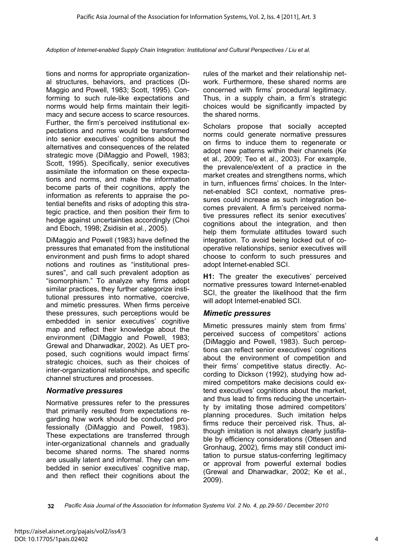tions and norms for appropriate organizational structures, behaviors, and practices (Di-Maggio and Powell, 1983; Scott, 1995). Conforming to such rule-like expectations and norms would help firms maintain their legitimacy and secure access to scarce resources. Further, the firm's perceived institutional expectations and norms would be transformed into senior executives' cognitions about the alternatives and consequences of the related strategic move (DiMaggio and Powell, 1983; Scott, 1995). Specifically, senior executives assimilate the information on these expectations and norms, and make the information become parts of their cognitions, apply the information as referents to appraise the potential benefits and risks of adopting this strategic practice, and then position their firm to hedge against uncertainties accordingly (Choi and Eboch, 1998; Zsidisin et al., 2005).

DiMaggio and Powell (1983) have defined the pressures that emanated from the institutional environment and push firms to adopt shared notions and routines as "institutional pressures", and call such prevalent adoption as "isomorphism." To analyze why firms adopt similar practices, they further categorize institutional pressures into normative, coercive, and mimetic pressures. When firms perceive these pressures, such perceptions would be embedded in senior executives' cognitive map and reflect their knowledge about the environment (DiMaggio and Powell, 1983; Grewal and Dharwadkar, 2002). As UET proposed, such cognitions would impact firms' strategic choices, such as their choices of inter-organizational relationships, and specific channel structures and processes.

#### *Normative pressures*

Normative pressures refer to the pressures that primarily resulted from expectations regarding how work should be conducted professionally (DiMaggio and Powell, 1983). These expectations are transferred through inter-organizational channels and gradually become shared norms. The shared norms are usually latent and informal. They can embedded in senior executives' cognitive map, and then reflect their cognitions about the

rules of the market and their relationship network. Furthermore, these shared norms are concerned with firms' procedural legitimacy. Thus, in a supply chain, a firm's strategic choices would be significantly impacted by the shared norms.

Scholars propose that socially accepted norms could generate normative pressures on firms to induce them to regenerate or adopt new patterns within their channels (Ke et al., 2009; Teo et al., 2003). For example, the prevalence/extent of a practice in the market creates and strengthens norms, which in turn, influences firms' choices. In the Internet-enabled SCI context, normative pressures could increase as such integration becomes prevalent. A firm's perceived normative pressures reflect its senior executives' cognitions about the integration, and then help them formulate attitudes toward such integration. To avoid being locked out of cooperative relationships, senior executives will choose to conform to such pressures and adopt Internet-enabled SCI.

**H1:** The greater the executives' perceived normative pressures toward Internet-enabled SCI, the greater the likelihood that the firm will adopt Internet-enabled SCI.

#### *Mimetic pressures*

Mimetic pressures mainly stem from firms' perceived success of competitors' actions (DiMaggio and Powell, 1983). Such perceptions can reflect senior executives' cognitions about the environment of competition and their firms' competitive status directly. According to Dickson (1992), studying how admired competitors make decisions could extend executives' cognitions about the market, and thus lead to firms reducing the uncertainty by imitating those admired competitors' planning procedures. Such imitation helps firms reduce their perceived risk. Thus, although imitation is not always clearly justifiable by efficiency considerations (Ottesen and Gronhaug, 2002), firms may still conduct imitation to pursue status-conferring legitimacy or approval from powerful external bodies (Grewal and Dharwadkar, 2002; Ke et al., 2009).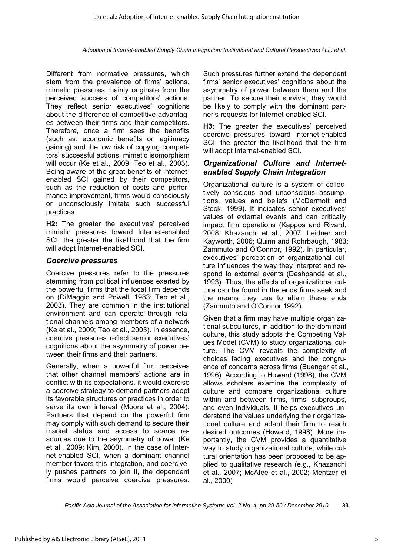Different from normative pressures, which stem from the prevalence of firms' actions, mimetic pressures mainly originate from the perceived success of competitors' actions. They reflect senior executives' cognitions about the difference of competitive advantages between their firms and their competitors. Therefore, once a firm sees the benefits (such as, economic benefits or legitimacy gaining) and the low risk of copying competitors' successful actions, mimetic isomorphism will occur (Ke et al., 2009; Teo et al., 2003). Being aware of the great benefits of Internetenabled SCI gained by their competitors, such as the reduction of costs and performance improvement, firms would consciously or unconsciously imitate such successful practices.

**H2:** The greater the executives' perceived mimetic pressures toward Internet-enabled SCI, the greater the likelihood that the firm will adopt Internet-enabled SCI.

#### *Coercive pressures*

Coercive pressures refer to the pressures stemming from political influences exerted by the powerful firms that the focal firm depends on (DiMaggio and Powell, 1983; Teo et al., 2003). They are common in the institutional environment and can operate through relational channels among members of a network (Ke et al., 2009; Teo et al., 2003). In essence, coercive pressures reflect senior executives' cognitions about the asymmetry of power between their firms and their partners.

Generally, when a powerful firm perceives that other channel members' actions are in conflict with its expectations, it would exercise a coercive strategy to demand partners adopt its favorable structures or practices in order to serve its own interest (Moore et al., 2004). Partners that depend on the powerful firm may comply with such demand to secure their market status and access to scarce resources due to the asymmetry of power (Ke et al., 2009; Kim, 2000). In the case of Internet-enabled SCI, when a dominant channel member favors this integration, and coercively pushes partners to join it, the dependent firms would perceive coercive pressures.

Such pressures further extend the dependent firms' senior executives' cognitions about the asymmetry of power between them and the partner. To secure their survival, they would be likely to comply with the dominant partner's requests for Internet-enabled SCI.

**H3:** The greater the executives' perceived coercive pressures toward Internet-enabled SCI, the greater the likelihood that the firm will adopt Internet-enabled SCI.

#### *Organizational Culture and Internetenabled Supply Chain Integration*

Organizational culture is a system of collectively conscious and unconscious assumptions, values and beliefs (McDermott and Stock, 1999). It indicates senior executives' values of external events and can critically impact firm operations (Kappos and Rivard, 2008; Khazanchi et al., 2007; Leidner and Kayworth, 2006; Quinn and Rohrbaugh, 1983; Zammuto and O'Connor, 1992). In particular, executives' perception of organizational culture influences the way they interpret and respond to external events (Deshpandé et al., 1993). Thus, the effects of organizational culture can be found in the ends firms seek and the means they use to attain these ends (Zammuto and O'Connor 1992).

Given that a firm may have multiple organizational subcultures, in addition to the dominant culture, this study adopts the Competing Values Model (CVM) to study organizational culture. The CVM reveals the complexity of choices facing executives and the congruence of concerns across firms (Buenger et al., 1996). According to Howard (1998), the CVM allows scholars examine the complexity of culture and compare organizational culture within and between firms, firms' subgroups, and even individuals. It helps executives understand the values underlying their organizational culture and adapt their firm to reach desired outcomes (Howard, 1998). More importantly, the CVM provides a quantitative way to study organizational culture, while cultural orientation has been proposed to be applied to qualitative research (e.g., Khazanchi et al., 2007; McAfee et al., 2002; Mentzer et al., 2000)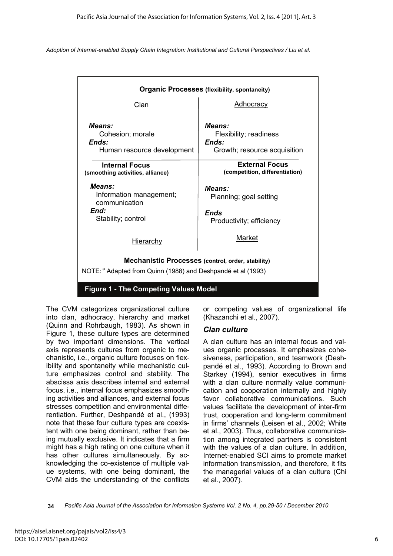| <b>Organic Processes (flexibility, spontaneity)</b>                                                                                 |                                                                             |  |  |  |  |
|-------------------------------------------------------------------------------------------------------------------------------------|-----------------------------------------------------------------------------|--|--|--|--|
| Clan                                                                                                                                | <b>Adhocracy</b>                                                            |  |  |  |  |
| Means:<br>Cohesion; morale<br>Ends:<br>Human resource development                                                                   | Means:<br>Flexibility; readiness<br>Ends:<br>Growth; resource acquisition   |  |  |  |  |
| <b>Internal Focus</b><br>(smoothing activities, alliance)                                                                           | <b>External Focus</b><br>(competition, differentiation)                     |  |  |  |  |
| Means:<br>Information management;<br>communication<br>End:<br>Stability; control                                                    | <b>Means:</b><br>Planning; goal setting<br>Ends<br>Productivity; efficiency |  |  |  |  |
| <b>Hierarchy</b>                                                                                                                    | Market                                                                      |  |  |  |  |
| <b>Mechanistic Processes (control, order, stability)</b><br>NOTE: <sup>a</sup> Adapted from Quinn (1988) and Deshpandé et al (1993) |                                                                             |  |  |  |  |
| <b>Figure 1 - The Competing Values Model</b>                                                                                        |                                                                             |  |  |  |  |

The CVM categorizes organizational culture into clan, adhocracy, hierarchy and market (Quinn and Rohrbaugh, 1983). As shown in Figure 1, these culture types are determined by two important dimensions. The vertical axis represents cultures from organic to mechanistic, i.e., organic culture focuses on flexibility and spontaneity while mechanistic culture emphasizes control and stability. The abscissa axis describes internal and external focus, i.e., internal focus emphasizes smoothing activities and alliances, and external focus stresses competition and environmental differentiation. Further, Deshpandé et al., (1993) note that these four culture types are coexistent with one being dominant, rather than being mutually exclusive. It indicates that a firm might has a high rating on one culture when it has other cultures simultaneously. By acknowledging the co-existence of multiple value systems, with one being dominant, the CVM aids the understanding of the conflicts

or competing values of organizational life (Khazanchi et al., 2007).

#### *Clan culture*

A clan culture has an internal focus and values organic processes. It emphasizes cohesiveness, participation, and teamwork (Deshpandé et al., 1993). According to Brown and Starkey (1994), senior executives in firms with a clan culture normally value communication and cooperation internally and highly favor collaborative communications. Such values facilitate the development of inter-firm trust, cooperation and long-term commitment in firms' channels (Leisen et al., 2002; White et al., 2003). Thus, collaborative communication among integrated partners is consistent with the values of a clan culture. In addition, Internet-enabled SCI aims to promote market information transmission, and therefore, it fits the managerial values of a clan culture (Chi et al., 2007).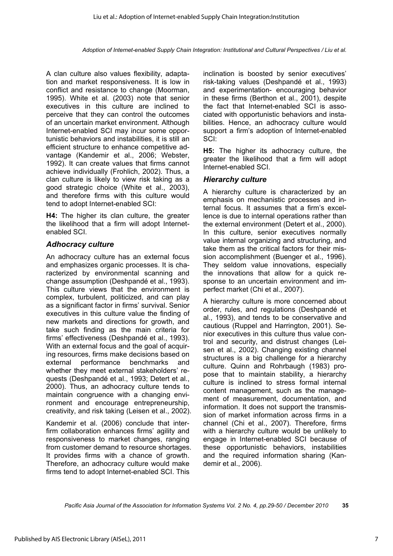A clan culture also values flexibility, adaptation and market responsiveness. It is low in conflict and resistance to change (Moorman, 1995). White et al. (2003) note that senior executives in this culture are inclined to perceive that they can control the outcomes of an uncertain market environment. Although Internet-enabled SCI may incur some opportunistic behaviors and instabilities, it is still an efficient structure to enhance competitive advantage (Kandemir et al., 2006; Webster, 1992). It can create values that firms cannot achieve individually (Frohlich, 2002). Thus, a clan culture is likely to view risk taking as a good strategic choice (White et al., 2003), and therefore firms with this culture would tend to adopt Internet-enabled SCI:

**H4:** The higher its clan culture, the greater the likelihood that a firm will adopt Internetenabled SCI.

#### *Adhocracy culture*

An adhocracy culture has an external focus and emphasizes organic processes. It is characterized by environmental scanning and change assumption (Deshpandé et al., 1993). This culture views that the environment is complex, turbulent, politicized, and can play as a significant factor in firms' survival. Senior executives in this culture value the finding of new markets and directions for growth, and take such finding as the main criteria for firms' effectiveness (Deshpandé et al., 1993). With an external focus and the goal of acquiring resources, firms make decisions based on external performance benchmarks and whether they meet external stakeholders' requests (Deshpandé et al., 1993; Detert et al., 2000). Thus, an adhocracy culture tends to maintain congruence with a changing environment and encourage entrepreneurship, creativity, and risk taking (Leisen et al., 2002).

Kandemir et al. (2006) conclude that interfirm collaboration enhances firms' agility and responsiveness to market changes, ranging from customer demand to resource shortages. It provides firms with a chance of growth. Therefore, an adhocracy culture would make firms tend to adopt Internet-enabled SCI. This

inclination is boosted by senior executives' risk-taking values (Deshpandé et al., 1993) and experimentation- encouraging behavior in these firms (Berthon et al., 2001), despite the fact that Internet-enabled SCI is associated with opportunistic behaviors and instabilities. Hence, an adhocracy culture would support a firm's adoption of Internet-enabled SCI:

**H5:** The higher its adhocracy culture, the greater the likelihood that a firm will adopt Internet-enabled SCI.

#### *Hierarchy culture*

A hierarchy culture is characterized by an emphasis on mechanistic processes and internal focus. It assumes that a firm's excellence is due to internal operations rather than the external environment (Detert et al., 2000). In this culture, senior executives normally value internal organizing and structuring, and take them as the critical factors for their mission accomplishment (Buenger et al., 1996). They seldom value innovations, especially the innovations that allow for a quick response to an uncertain environment and imperfect market (Chi et al., 2007).

A hierarchy culture is more concerned about order, rules, and regulations (Deshpandé et al., 1993), and tends to be conservative and cautious (Ruppel and Harrington, 2001). Senior executives in this culture thus value control and security, and distrust changes (Leisen et al., 2002). Changing existing channel structures is a big challenge for a hierarchy culture. Quinn and Rohrbaugh (1983) propose that to maintain stability, a hierarchy culture is inclined to stress formal internal content management, such as the management of measurement, documentation, and information. It does not support the transmission of market information across firms in a channel (Chi et al., 2007). Therefore, firms with a hierarchy culture would be unlikely to engage in Internet-enabled SCI because of these opportunistic behaviors, instabilities and the required information sharing (Kandemir et al., 2006).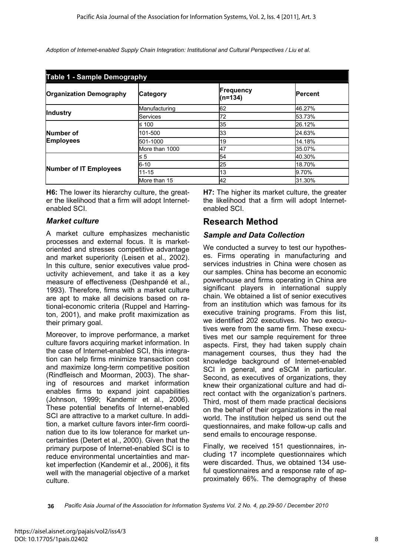| <b>Table 1 - Sample Demography</b> |                 |                      |                |  |  |  |
|------------------------------------|-----------------|----------------------|----------------|--|--|--|
| <b>Organization Demography</b>     | <b>Category</b> | Frequency<br>(n=134) | <b>Percent</b> |  |  |  |
|                                    | Manufacturing   | 62                   | 46.27%         |  |  |  |
| <b>Industry</b>                    | <b>Services</b> | 72                   | 53.73%         |  |  |  |
|                                    | ≤ 100           | 35                   | 26.12%         |  |  |  |
| <b>Number of</b>                   | 101-500         | 33                   | 24.63%         |  |  |  |
| <b>Employees</b>                   | 501-1000        | 19                   | 14.18%         |  |  |  |
|                                    | More than 1000  | 47                   | 35.07%         |  |  |  |
|                                    | $\leq 5$        | 54                   | 40.30%         |  |  |  |
|                                    | $6 - 10$        | 25                   | 18.70%         |  |  |  |
| <b>Number of IT Employees</b>      | $11 - 15$       | 13                   | 9.70%          |  |  |  |
|                                    | More than 15    | 42                   | 31.30%         |  |  |  |

**H6:** The lower its hierarchy culture, the greater the likelihood that a firm will adopt Internetenabled SCI.

#### *Market culture*

A market culture emphasizes mechanistic processes and external focus. It is marketoriented and stresses competitive advantage and market superiority (Leisen et al., 2002). In this culture, senior executives value productivity achievement, and take it as a key measure of effectiveness (Deshpandé et al., 1993). Therefore, firms with a market culture are apt to make all decisions based on rational-economic criteria (Ruppel and Harrington, 2001), and make profit maximization as their primary goal.

Moreover, to improve performance, a market culture favors acquiring market information. In the case of Internet-enabled SCI, this integration can help firms minimize transaction cost and maximize long-term competitive position (Rindfleisch and Moorman, 2003). The sharing of resources and market information enables firms to expand joint capabilities (Johnson, 1999; Kandemir et al., 2006). These potential benefits of Internet-enabled SCI are attractive to a market culture. In addition, a market culture favors inter-firm coordination due to its low tolerance for market uncertainties (Detert et al., 2000). Given that the primary purpose of Internet-enabled SCI is to reduce environmental uncertainties and market imperfection (Kandemir et al., 2006), it fits well with the managerial objective of a market culture.

**H7:** The higher its market culture, the greater the likelihood that a firm will adopt Internetenabled SCI.

## **Research Method**

### *Sample and Data Collection*

We conducted a survey to test our hypotheses. Firms operating in manufacturing and services industries in China were chosen as our samples. China has become an economic powerhouse and firms operating in China are significant players in international supply chain. We obtained a list of senior executives from an institution which was famous for its executive training programs. From this list, we identified 202 executives. No two executives were from the same firm. These executives met our sample requirement for three aspects. First, they had taken supply chain management courses, thus they had the knowledge background of Internet-enabled SCI in general, and eSCM in particular. Second, as executives of organizations, they knew their organizational culture and had direct contact with the organization's partners. Third, most of them made practical decisions on the behalf of their organizations in the real world. The institution helped us send out the questionnaires, and make follow-up calls and send emails to encourage response.

Finally, we received 151 questionnaires, including 17 incomplete questionnaires which were discarded. Thus, we obtained 134 useful questionnaires and a response rate of approximately 66%. The demography of these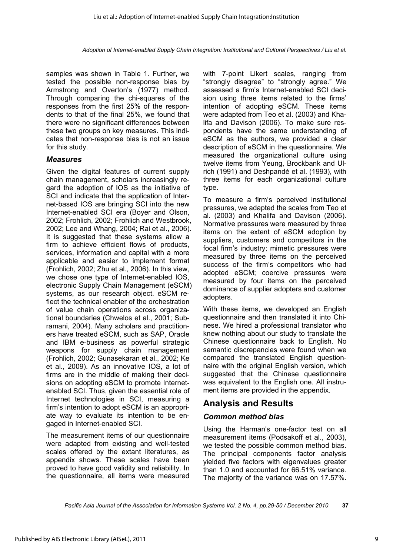samples was shown in Table 1. Further, we tested the possible non-response bias by Armstrong and Overton's (1977) method. Through comparing the chi-squares of the responses from the first 25% of the respondents to that of the final 25%, we found that there were no significant differences between these two groups on key measures. This indicates that non-response bias is not an issue for this study.

#### *Measures*

Given the digital features of current supply chain management, scholars increasingly regard the adoption of IOS as the initiative of SCI and indicate that the application of Internet-based IOS are bringing SCI into the new Internet-enabled SCI era (Boyer and Olson, 2002; Frohlich, 2002; Frohlich and Westbrook, 2002; Lee and Whang, 2004; Rai et al., 2006). It is suggested that these systems allow a firm to achieve efficient flows of products, services, information and capital with a more applicable and easier to implement format (Frohlich, 2002; Zhu et al., 2006). In this view, we chose one type of Internet-enabled IOS, electronic Supply Chain Management (eSCM) systems, as our research object. eSCM reflect the technical enabler of the orchestration of value chain operations across organizational boundaries (Chwelos et al., 2001; Subramani, 2004). Many scholars and practitioners have treated eSCM, such as SAP, Oracle and IBM e-business as powerful strategic weapons for supply chain management (Frohlich, 2002; Gunasekaran et al., 2002; Ke et al., 2009). As an innovative IOS, a lot of firms are in the middle of making their decisions on adopting eSCM to promote Internetenabled SCI. Thus, given the essential role of Internet technologies in SCI, measuring a firm's intention to adopt eSCM is an appropriate way to evaluate its intention to be engaged in Internet-enabled SCI.

The measurement items of our questionnaire were adapted from existing and well-tested scales offered by the extant literatures, as appendix shows. These scales have been proved to have good validity and reliability. In the questionnaire, all items were measured

with 7-point Likert scales, ranging from "strongly disagree" to "strongly agree." We assessed a firm's Internet-enabled SCI decision using three items related to the firms' intention of adopting eSCM. These items were adapted from Teo et al. (2003) and Khalifa and Davison (2006). To make sure respondents have the same understanding of eSCM as the authors, we provided a clear description of eSCM in the questionnaire. We measured the organizational culture using twelve items from Yeung, Brockbank and Ulrich (1991) and Deshpandé et al. (1993), with three items for each organizational culture type.

To measure a firm's perceived institutional pressures, we adapted the scales from Teo et al. (2003) and Khalifa and Davison (2006). Normative pressures were measured by three items on the extent of eSCM adoption by suppliers, customers and competitors in the focal firm's industry; mimetic pressures were measured by three items on the perceived success of the firm's competitors who had adopted eSCM; coercive pressures were measured by four items on the perceived dominance of supplier adopters and customer adopters.

With these items, we developed an English questionnaire and then translated it into Chinese. We hired a professional translator who knew nothing about our study to translate the Chinese questionnaire back to English. No semantic discrepancies were found when we compared the translated English questionnaire with the original English version, which suggested that the Chinese questionnaire was equivalent to the English one. All instrument items are provided in the appendix.

## **Analysis and Results**

#### *Common method bias*

Using the Harman's one-factor test on all measurement items (Podsakoff et al., 2003), we tested the possible common method bias. The principal components factor analysis yielded five factors with eigenvalues greater than 1.0 and accounted for 66.51% variance. The majority of the variance was on 17.57%.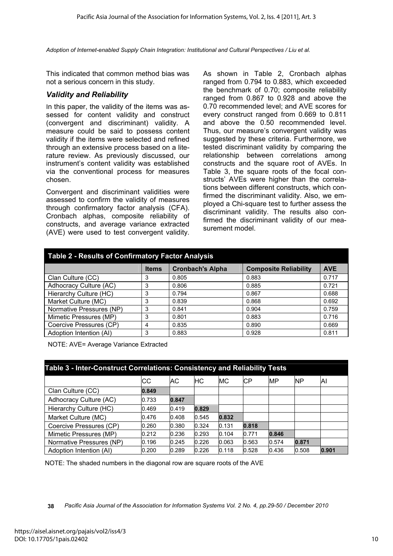This indicated that common method bias was not a serious concern in this study.

#### *Validity and Reliability*

In this paper, the validity of the items was assessed for content validity and construct (convergent and discriminant) validity. A measure could be said to possess content validity if the items were selected and refined through an extensive process based on a literature review. As previously discussed, our instrument's content validity was established via the conventional process for measures chosen.

Convergent and discriminant validities were assessed to confirm the validity of measures through confirmatory factor analysis (CFA). Cronbach alphas, composite reliability of constructs, and average variance extracted (AVE) were used to test convergent validity.

As shown in Table 2, Cronbach alphas ranged from 0.794 to 0.883, which exceeded the benchmark of 0.70; composite reliability ranged from 0.867 to 0.928 and above the 0.70 recommended level; and AVE scores for every construct ranged from 0.669 to 0.811 and above the 0.50 recommended level. Thus, our measure's convergent validity was suggested by these criteria. Furthermore, we tested discriminant validity by comparing the relationship between correlations among constructs and the square root of AVEs. In Table 3, the square roots of the focal constructs' AVEs were higher than the correlations between different constructs, which confirmed the discriminant validity. Also, we employed a Chi-square test to further assess the discriminant validity. The results also confirmed the discriminant validity of our measurement model.

| <b>Table 2 - Results of Confirmatory Factor Analysis</b> |              |                         |                              |            |  |  |
|----------------------------------------------------------|--------------|-------------------------|------------------------------|------------|--|--|
|                                                          | <b>Items</b> | <b>Cronbach's Alpha</b> | <b>Composite Reliability</b> | <b>AVE</b> |  |  |
| Clan Culture (CC)                                        | 3            | 0.805                   | 0.883                        | 0.717      |  |  |
| Adhocracy Culture (AC)                                   | 3            | 0.806                   | 0.885                        | 0.721      |  |  |
| Hierarchy Culture (HC)                                   | 3            | 0.794                   | 0.867                        | 0.688      |  |  |
| Market Culture (MC)                                      | 3            | 0.839                   | 0.868                        | 0.692      |  |  |
| Normative Pressures (NP)                                 | 3            | 0.841                   | 0.904                        | 0.759      |  |  |
| Mimetic Pressures (MP)                                   | 3            | 0.801                   | 0.883                        | 0.716      |  |  |
| Coercive Pressures (CP)                                  | 4            | 0.835                   | 0.890                        | 0.669      |  |  |
| Adoption Intention (AI)                                  | 3            | 0.883                   | 0.928                        | 0.811      |  |  |

NOTE: AVE= Average Variance Extracted

| Table 3 - Inter-Construct Correlations: Consistency and Reliability Tests |       |       |           |           |       |           |       |       |
|---------------------------------------------------------------------------|-------|-------|-----------|-----------|-------|-----------|-------|-------|
|                                                                           | СC    | АC    | <b>HC</b> | <b>MC</b> | СP    | <b>MP</b> | ΝP    | ΙAΙ   |
| Clan Culture (CC)                                                         | 0.849 |       |           |           |       |           |       |       |
| Adhocracy Culture (AC)                                                    | 0.733 | 0.847 |           |           |       |           |       |       |
| Hierarchy Culture (HC)                                                    | 0.469 | 0.419 | 0.829     |           |       |           |       |       |
| Market Culture (MC)                                                       | 0.476 | 0.408 | 0.545     | 0.832     |       |           |       |       |
| Coercive Pressures (CP)                                                   | 0.260 | 0.380 | 0.324     | 0.131     | 0.818 |           |       |       |
| Mimetic Pressures (MP)                                                    | 0.212 | 0.236 | 0.293     | 0.104     | 0.771 | 0.846     |       |       |
| Normative Pressures (NP)                                                  | 0.196 | 0.245 | 0.226     | 0.063     | 0.563 | 0.574     | 0.871 |       |
| Adoption Intention (AI)                                                   | 0.200 | 0.289 | 0.226     | 0.118     | 0.528 | 0.436     | 0.508 | 0.901 |

NOTE: The shaded numbers in the diagonal row are square roots of the AVE

**<sup>38</sup>** *Pacific Asia Journal of the Association for Information Systems Vol. 2 No. 4, pp.29-50 / December 2010*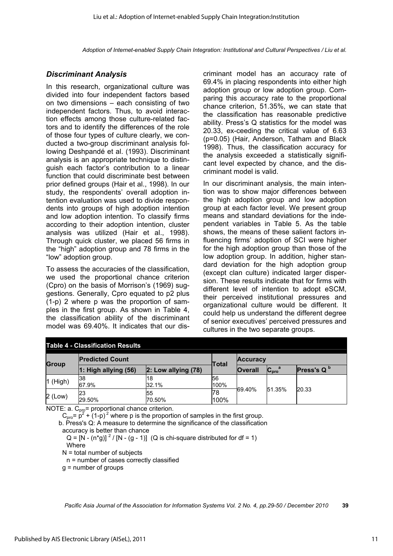### *Discriminant Analysis*

In this research, organizational culture was divided into four independent factors based on two dimensions – each consisting of two independent factors. Thus, to avoid interaction effects among those culture-related factors and to identify the differences of the role of those four types of culture clearly, we conducted a two-group discriminant analysis following Deshpandé et al. (1993). Discriminant analysis is an appropriate technique to distinguish each factor's contribution to a linear function that could discriminate best between prior defined groups (Hair et al., 1998). In our study, the respondents' overall adoption intention evaluation was used to divide respondents into groups of high adoption intention and low adoption intention. To classify firms according to their adoption intention, cluster analysis was utilized (Hair et al., 1998). Through quick cluster, we placed 56 firms in the "high" adoption group and 78 firms in the "low" adoption group.

To assess the accuracies of the classification, we used the proportional chance criterion (Cpro) on the basis of Morrison's (1969) suggestions. Generally, Cpro equated to p2 plus (1-p) 2 where p was the proportion of samples in the first group. As shown in Table 4, the classification ability of the discriminant model was 69.40%. It indicates that our discriminant model has an accuracy rate of 69.4% in placing respondents into either high adoption group or low adoption group. Comparing this accuracy rate to the proportional chance criterion, 51.35%, we can state that the classification has reasonable predictive ability. Press's Q statistics for the model was 20.33, ex-ceeding the critical value of 6.63 (p=0.05) (Hair, Anderson, Tatham and Black 1998). Thus, the classification accuracy for the analysis exceeded a statistically significant level expected by chance, and the discriminant model is valid.

In our discriminant analysis, the main intention was to show major differences between the high adoption group and low adoption group at each factor level. We present group means and standard deviations for the independent variables in Table 5. As the table shows, the means of these salient factors influencing firms' adoption of SCI were higher for the high adoption group than those of the low adoption group. In addition, higher standard deviation for the high adoption group (except clan culture) indicated larger dispersion. These results indicate that for firms with different level of intention to adopt eSCM, their perceived institutional pressures and organizational culture would be different. It could help us understand the different degree of senior executives' perceived pressures and cultures in the two separate groups.

| <b>Table 4 - Classification Results</b> |                        |                         |              |                 |                             |                             |
|-----------------------------------------|------------------------|-------------------------|--------------|-----------------|-----------------------------|-----------------------------|
| <b>Group</b>                            | <b>Predicted Count</b> |                         | <b>Total</b> | <b>Accuracy</b> |                             |                             |
|                                         | 1: High allying (56)   | $2:$ Low allying $(78)$ |              | <b>Overall</b>  | $C_{\text{pro}}^{\qquad a}$ | <b>Press's Q</b> $^{\rm b}$ |
| 1 (High)                                | 38<br>67.9%            | 18<br>32.1%             | 56<br>100%   |                 |                             |                             |
| $2$ (Low)                               | 23<br>29.50%           | 55<br>70.50%            | 78<br>100%   | 69.40%          | 51.35%                      | 20.33                       |

NOTE: a.  $C_{\text{pro}}$ = proportional chance criterion.

 $C_{\text{pro}} = p^2 + (1-p)^2$  where p is the proportion of samples in the first group.

 b. Press's Q: A measure to determine the significance of the classification accuracy is better than chance

 $Q = [N - (n^*g)]^2 / [N - (g - 1)]$  (Q is chi-square distributed for df = 1) **Where** 

 $N =$  total number of subjects

n = number of cases correctly classified

g = number of groups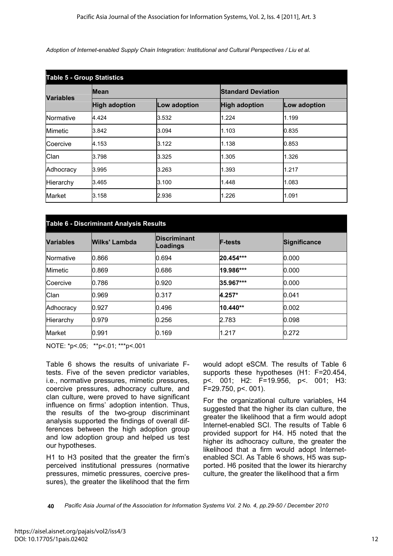| <b>Table 5 - Group Statistics</b> |                      |              |                      |                           |  |  |
|-----------------------------------|----------------------|--------------|----------------------|---------------------------|--|--|
| <b>Variables</b>                  | <b>Mean</b>          |              |                      | <b>Standard Deviation</b> |  |  |
|                                   | <b>High adoption</b> | Low adoption | <b>High adoption</b> | <b>Low adoption</b>       |  |  |
| Normative                         | 4.424                | 3.532        | 1.224                | 1.199                     |  |  |
| <b>Mimetic</b>                    | 3.842                | 3.094        | 1.103                | 0.835                     |  |  |
| Coercive                          | 4.153                | 3.122        | 1.138                | 0.853                     |  |  |
| Clan                              | 3.798                | 3.325        | 1.305                | 1.326                     |  |  |
| Adhocracy                         | 3.995                | 3.263        | 1.393                | 1.217                     |  |  |
| Hierarchy                         | 3.465                | 3.100        | 1.448                | 1.083                     |  |  |
| <b>Market</b>                     | 3.158                | 2.936        | 1.226                | 1.091                     |  |  |

| <b>Table 6 - Discriminant Analysis Results</b> |               |                                 |                |                     |  |
|------------------------------------------------|---------------|---------------------------------|----------------|---------------------|--|
| <b>Variables</b>                               | Wilks' Lambda | <b>Discriminant</b><br>Loadings | <b>F-tests</b> | <b>Significance</b> |  |
| Normative                                      | 0.866         | 0.694                           | 20.454***      | 0.000               |  |
| <b>Mimetic</b>                                 | 0.869         | 0.686                           | 19.986***      | 0.000               |  |
| Coercive                                       | 0.786         | 0.920                           | 35.967***      | 0.000               |  |
| Clan                                           | 0.969         | 0.317                           | 4.257*         | 0.041               |  |
| Adhocracy                                      | 0.927         | 0.496                           | 10.440**       | 0.002               |  |
| Hierarchy                                      | 0.979         | 0.256                           | 2.783          | 0.098               |  |
| <b>Market</b>                                  | 0.991         | 0.169                           | 1.217          | 0.272               |  |

NOTE: \*p<.05; \*\*p<.01; \*\*\*p<.001

Table 6 shows the results of univariate Ftests. Five of the seven predictor variables, i.e., normative pressures, mimetic pressures, coercive pressures, adhocracy culture, and clan culture, were proved to have significant influence on firms' adoption intention. Thus, the results of the two-group discriminant analysis supported the findings of overall differences between the high adoption group and low adoption group and helped us test our hypotheses.

H1 to H3 posited that the greater the firm's perceived institutional pressures (normative pressures, mimetic pressures, coercive pressures), the greater the likelihood that the firm would adopt eSCM. The results of Table 6 supports these hypotheses (H1: F=20.454, p<. 001; H2: F=19.956, p<. 001; H3: F=29.750, p<. 001).

For the organizational culture variables, H4 suggested that the higher its clan culture, the greater the likelihood that a firm would adopt Internet-enabled SCI. The results of Table 6 provided support for H4. H5 noted that the higher its adhocracy culture, the greater the likelihood that a firm would adopt Internetenabled SCI. As Table 6 shows, H5 was supported. H6 posited that the lower its hierarchy culture, the greater the likelihood that a firm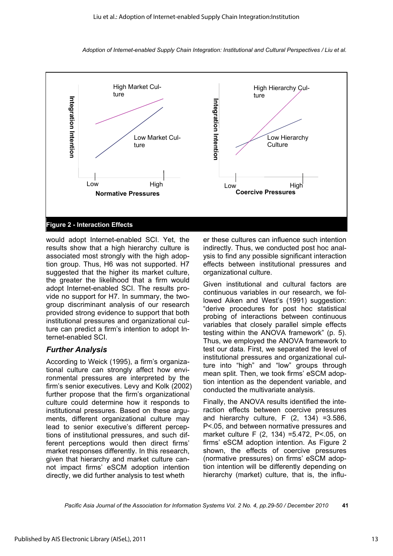

would adopt Internet-enabled SCI. Yet, the results show that a high hierarchy culture is associated most strongly with the high adoption group. Thus, H6 was not supported. H7 suggested that the higher its market culture. the greater the likelihood that a firm would adopt Internet-enabled SCI. The results provide no support for H7. In summary, the twogroup discriminant analysis of our research provided strong evidence to support that both institutional pressures and organizational culture can predict a firm's intention to adopt Internet-enabled SCI.

#### *Further Analysis*

According to Weick (1995), a firm's organizational culture can strongly affect how environmental pressures are interpreted by the firm's senior executives. Levy and Kolk (2002) further propose that the firm's organizational culture could determine how it responds to institutional pressures. Based on these arguments, different organizational culture may lead to senior executive's different perceptions of institutional pressures, and such different perceptions would then direct firms' market responses differently. In this research, given that hierarchy and market culture cannot impact firms' eSCM adoption intention directly, we did further analysis to test wheth

er these cultures can influence such intention indirectly. Thus, we conducted post hoc analysis to find any possible significant interaction effects between institutional pressures and organizational culture.

Given institutional and cultural factors are continuous variables in our research, we followed Aiken and West's (1991) suggestion: "derive procedures for post hoc statistical probing of interactions between continuous variables that closely parallel simple effects testing within the ANOVA framework" (p. 5). Thus, we employed the ANOVA framework to test our data. First, we separated the level of institutional pressures and organizational culture into "high" and "low" groups through mean split. Then, we took firms' eSCM adoption intention as the dependent variable, and conducted the multivariate analysis.

Finally, the ANOVA results identified the interaction effects between coercive pressures and hierarchy culture,  $F(2, 134) = 3.586$ , P<.05, and between normative pressures and market culture F (2, 134) =5.472, P<.05, on firms' eSCM adoption intention. As Figure 2 shown, the effects of coercive pressures (normative pressures) on firms' eSCM adoption intention will be differently depending on hierarchy (market) culture, that is, the influ-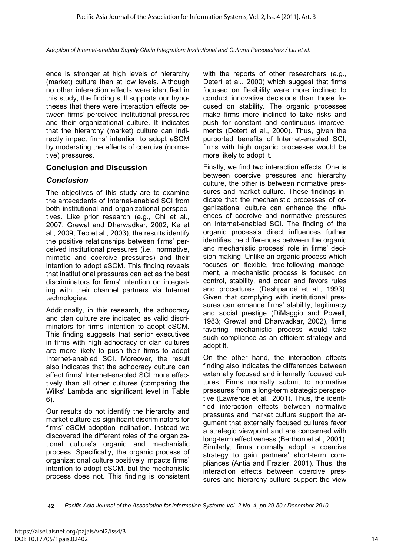ence is stronger at high levels of hierarchy (market) culture than at low levels. Although no other interaction effects were identified in this study, the finding still supports our hypotheses that there were interaction effects between firms' perceived institutional pressures and their organizational culture. It indicates that the hierarchy (market) culture can indirectly impact firms' intention to adopt eSCM by moderating the effects of coercive (normative) pressures.

#### **Conclusion and Discussion**

#### *Conclusion*

The objectives of this study are to examine the antecedents of Internet-enabled SCI from both institutional and organizational perspectives. Like prior research (e.g., Chi et al., 2007; Grewal and Dharwadkar, 2002; Ke et al., 2009; Teo et al., 2003), the results identify the positive relationships between firms' perceived institutional pressures (i.e., normative, mimetic and coercive pressures) and their intention to adopt eSCM. This finding reveals that institutional pressures can act as the best discriminators for firms' intention on integrating with their channel partners via Internet technologies.

Additionally, in this research, the adhocracy and clan culture are indicated as valid discriminators for firms' intention to adopt eSCM. This finding suggests that senior executives in firms with high adhocracy or clan cultures are more likely to push their firms to adopt Internet-enabled SCI. Moreover, the result also indicates that the adhocracy culture can affect firms' Internet-enabled SCI more effectively than all other cultures (comparing the Wilks' Lambda and significant level in Table 6).

Our results do not identify the hierarchy and market culture as significant discriminators for firms' eSCM adoption inclination. Instead we discovered the different roles of the organizational culture's organic and mechanistic process. Specifically, the organic process of organizational culture positively impacts firms' intention to adopt eSCM, but the mechanistic process does not. This finding is consistent with the reports of other researchers (e.g., Detert et al., 2000) which suggest that firms focused on flexibility were more inclined to conduct innovative decisions than those focused on stability. The organic processes make firms more inclined to take risks and push for constant and continuous improvements (Detert et al., 2000). Thus, given the purported benefits of Internet-enabled SCI, firms with high organic processes would be more likely to adopt it.

Finally, we find two interaction effects. One is between coercive pressures and hierarchy culture, the other is between normative pressures and market culture. These findings indicate that the mechanistic processes of organizational culture can enhance the influences of coercive and normative pressures on Internet-enabled SCI. The finding of the organic process's direct influences further identifies the differences between the organic and mechanistic process' role in firms' decision making. Unlike an organic process which focuses on flexible, free-following management, a mechanistic process is focused on control, stability, and order and favors rules and procedures (Deshpandé et al., 1993). Given that complying with institutional pressures can enhance firms' stability, legitimacy and social prestige (DiMaggio and Powell, 1983; Grewal and Dharwadkar, 2002), firms favoring mechanistic process would take such compliance as an efficient strategy and adopt it.

On the other hand, the interaction effects finding also indicates the differences between externally focused and internally focused cultures. Firms normally submit to normative pressures from a long-term strategic perspective (Lawrence et al., 2001). Thus, the identified interaction effects between normative pressures and market culture support the argument that externally focused cultures favor a strategic viewpoint and are concerned with long-term effectiveness (Berthon et al., 2001). Similarly, firms normally adopt a coercive strategy to gain partners' short-term compliances (Antia and Frazier, 2001). Thus, the interaction effects between coercive pressures and hierarchy culture support the view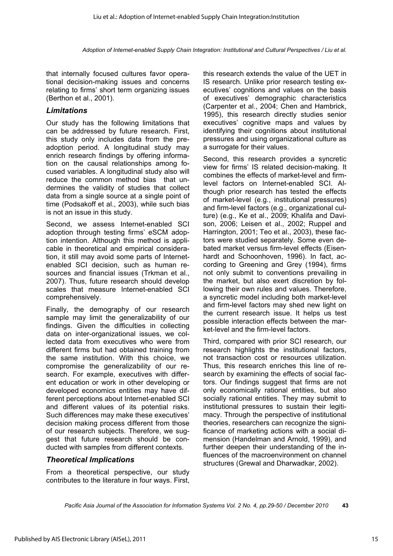that internally focused cultures favor operational decision-making issues and concerns relating to firms' short term organizing issues (Berthon et al., 2001).

#### *Limitations*

Our study has the following limitations that can be addressed by future research. First, this study only includes data from the preadoption period. A longitudinal study may enrich research findings by offering information on the causal relationships among focused variables. A longitudinal study also will reduce the common method bias that undermines the validity of studies that collect data from a single source at a single point of time (Podsakoff et al., 2003), while such bias is not an issue in this study.

Second, we assess Internet-enabled SCI adoption through testing firms' eSCM adoption intention. Although this method is applicable in theoretical and empirical consideration, it still may avoid some parts of Internetenabled SCI decision, such as human resources and financial issues (Trkman et al., 2007). Thus, future research should develop scales that measure Internet-enabled SCI comprehensively.

Finally, the demography of our research sample may limit the generalizability of our findings. Given the difficulties in collecting data on inter-organizational issues, we collected data from executives who were from different firms but had obtained training from the same institution. With this choice, we compromise the generalizability of our research. For example, executives with different education or work in other developing or developed economics entities may have different perceptions about Internet-enabled SCI and different values of its potential risks. Such differences may make these executives' decision making process different from those of our research subjects. Therefore, we suggest that future research should be conducted with samples from different contexts.

### *Theoretical Implications*

From a theoretical perspective, our study contributes to the literature in four ways. First, this research extends the value of the UET in IS research. Unlike prior research testing executives' cognitions and values on the basis of executives' demographic characteristics (Carpenter et al., 2004; Chen and Hambrick, 1995), this research directly studies senior executives' cognitive maps and values by identifying their cognitions about institutional pressures and using organizational culture as a surrogate for their values.

Second, this research provides a syncretic view for firms' IS related decision-making. It combines the effects of market-level and firmlevel factors on Internet-enabled SCI. Although prior research has tested the effects of market-level (e.g., institutional pressures) and firm-level factors (e.g., organizational culture) (e.g., Ke et al., 2009; Khalifa and Davison, 2006; Leisen et al., 2002; Ruppel and Harrington, 2001; Teo et al., 2003), these factors were studied separately. Some even debated market versus firm-level effects (Eisenhardt and Schoonhoven, 1996). In fact, according to Greening and Grey (1994), firms not only submit to conventions prevailing in the market, but also exert discretion by following their own rules and values. Therefore, a syncretic model including both market-level and firm-level factors may shed new light on the current research issue. It helps us test possible interaction effects between the market-level and the firm-level factors.

Third, compared with prior SCI research, our research highlights the institutional factors, not transaction cost or resources utilization. Thus, this research enriches this line of research by examining the effects of social factors. Our findings suggest that firms are not only economically rational entities, but also socially rational entities. They may submit to institutional pressures to sustain their legitimacy. Through the perspective of institutional theories, researchers can recognize the significance of marketing actions with a social dimension (Handelman and Arnold, 1999), and further deepen their understanding of the influences of the macroenvironment on channel structures (Grewal and Dharwadkar, 2002).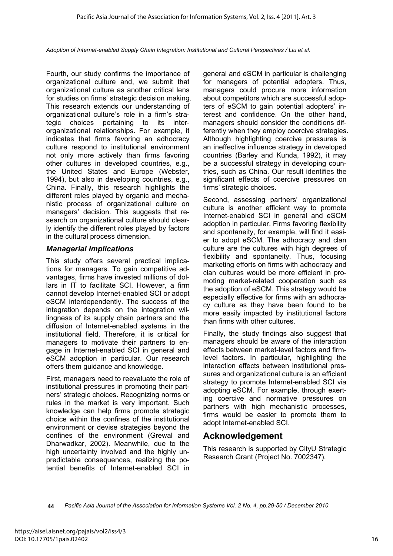Fourth, our study confirms the importance of organizational culture and, we submit that organizational culture as another critical lens for studies on firms' strategic decision making. This research extends our understanding of organizational culture's role in a firm's strategic choices pertaining to its interorganizational relationships. For example, it indicates that firms favoring an adhocracy culture respond to institutional environment not only more actively than firms favoring other cultures in developed countries, e.g., the United States and Europe (Webster, 1994), but also in developing countries, e.g., China. Finally, this research highlights the different roles played by organic and mechanistic process of organizational culture on managers' decision. This suggests that research on organizational culture should clearly identify the different roles played by factors in the cultural process dimension.

#### *Managerial Implications*

This study offers several practical implications for managers. To gain competitive advantages, firms have invested millions of dollars in IT to facilitate SCI. However, a firm cannot develop Internet-enabled SCI or adopt eSCM interdependently. The success of the integration depends on the integration willingness of its supply chain partners and the diffusion of Internet-enabled systems in the institutional field. Therefore, it is critical for managers to motivate their partners to engage in Internet-enabled SCI in general and eSCM adoption in particular. Our research offers them guidance and knowledge.

First, managers need to reevaluate the role of institutional pressures in promoting their partners' strategic choices. Recognizing norms or rules in the market is very important. Such knowledge can help firms promote strategic choice within the confines of the institutional environment or devise strategies beyond the confines of the environment (Grewal and Dharwadkar, 2002). Meanwhile, due to the high uncertainty involved and the highly unpredictable consequences, realizing the potential benefits of Internet-enabled SCI in

general and eSCM in particular is challenging for managers of potential adopters. Thus, managers could procure more information about competitors which are successful adopters of eSCM to gain potential adopters' interest and confidence. On the other hand, managers should consider the conditions differently when they employ coercive strategies. Although highlighting coercive pressures is an ineffective influence strategy in developed countries (Barley and Kunda, 1992), it may be a successful strategy in developing countries, such as China. Our result identifies the significant effects of coercive pressures on firms' strategic choices.

Second, assessing partners' organizational culture is another efficient way to promote Internet-enabled SCI in general and eSCM adoption in particular. Firms favoring flexibility and spontaneity, for example, will find it easier to adopt eSCM. The adhocracy and clan culture are the cultures with high degrees of flexibility and spontaneity. Thus, focusing marketing efforts on firms with adhocracy and clan cultures would be more efficient in promoting market-related cooperation such as the adoption of eSCM. This strategy would be especially effective for firms with an adhocracy culture as they have been found to be more easily impacted by institutional factors than firms with other cultures.

Finally, the study findings also suggest that managers should be aware of the interaction effects between market-level factors and firmlevel factors. In particular, highlighting the interaction effects between institutional pressures and organizational culture is an efficient strategy to promote Internet-enabled SCI via adopting eSCM. For example, through exerting coercive and normative pressures on partners with high mechanistic processes, firms would be easier to promote them to adopt Internet-enabled SCI.

## **Acknowledgement**

This research is supported by CityU Strategic Research Grant (Project No. 7002347).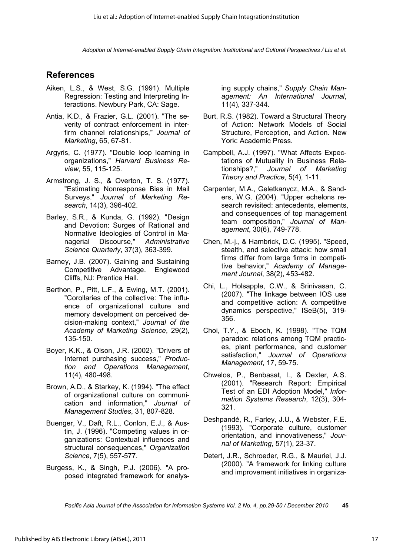## **References**

- Aiken, L.S., & West, S.G. (1991). Multiple Regression: Testing and Interpreting Interactions. Newbury Park, CA: Sage.
- Antia, K.D., & Frazier, G.L. (2001). "The severity of contract enforcement in interfirm channel relationships," *Journal of Marketing*, 65, 67-81.
- Argyris, C. (1977). "Double loop learning in organizations," *Harvard Business Review*, 55, 115-125.
- Armstrong, J. S., & Overton, T. S. (1977). "Estimating Nonresponse Bias in Mail Surveys." *Journal of Marketing Research*, 14(3), 396-402.
- Barley, S.R., & Kunda, G. (1992). "Design and Devotion: Surges of Rational and Normative Ideologies of Control in Managerial Discourse," *Administrative Science Quarterly*, 37(3), 363-399.
- Barney, J.B. (2007). Gaining and Sustaining Competitive Advantage. Englewood Cliffs, NJ: Prentice Hall.
- Berthon, P., Pitt, L.F., & Ewing, M.T. (2001). "Corollaries of the collective: The influence of organizational culture and memory development on perceived decision-making context," *Journal of the Academy of Marketing Science*, 29(2), 135-150.
- Boyer, K.K., & Olson, J.R. (2002). "Drivers of Internet purchasing success," *Production and Operations Management*, 11(4), 480-498.
- Brown, A.D., & Starkey, K. (1994). "The effect of organizational culture on communication and information," *Journal of Management Studies*, 31, 807-828.
- Buenger, V., Daft, R.L., Conlon, E.J., & Austin, J. (1996). "Competing values in organizations: Contextual influences and structural consequences," *Organization Science*, 7(5), 557-577.
- Burgess, K., & Singh, P.J. (2006). "A proposed integrated framework for analys-

ing supply chains," *Supply Chain Management: An International Journal*, 11(4), 337-344.

- Burt, R.S. (1982). Toward a Structural Theory of Action: Network Models of Social Structure, Perception, and Action. New York: Academic Press.
- Campbell, A.J. (1997). "What Affects Expectations of Mutuality in Business Relationships?," *Journal of Marketing Theory and Practice*, 5(4), 1-11.
- Carpenter, M.A., Geletkanycz, M.A., & Sanders, W.G. (2004). "Upper echelons research revisited: antecedents, elements, and consequences of top management team composition," *Journal of Management*, 30(6), 749-778.
- Chen, M.-j., & Hambrick, D.C. (1995). "Speed, stealth, and selective attack: how small firms differ from large firms in competitive behavior," *Academy of Management Journal*, 38(2), 453-482.
- Chi, L., Holsapple, C.W., & Srinivasan, C. (2007). "The linkage between IOS use and competitive action: A competitive dynamics perspective," ISeB(5), 319- 356.
- Choi, T.Y., & Eboch, K. (1998). "The TQM paradox: relations among TQM practices, plant performance, and customer satisfaction," *Journal of Operations Management*, 17, 59-75.
- Chwelos, P., Benbasat, I., & Dexter, A.S. (2001). "Research Report: Empirical Test of an EDI Adoption Model," *Information Systems Research*, 12(3), 304- 321.
- Deshpandé, R., Farley, J.U., & Webster, F.E. (1993). "Corporate culture, customer orientation, and innovativeness," *Journal of Marketing*, 57(1), 23-37.
- Detert, J.R., Schroeder, R.G., & Mauriel, J.J. (2000). "A framework for linking culture and improvement initiatives in organiza-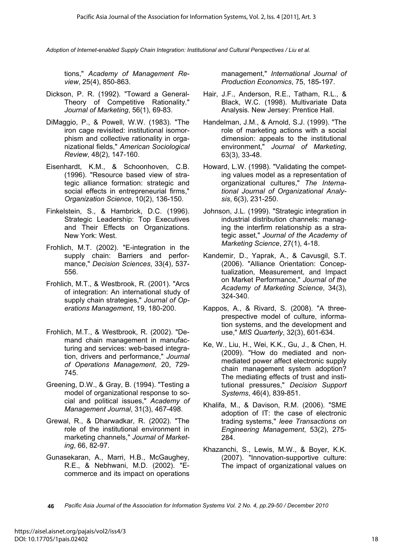tions," *Academy of Management Review*, 25(4), 850-863.

- Dickson, P. R. (1992). "Toward a General-Theory of Competitive Rationality." *Journal of Marketing*, 56(1), 69-83.
- DiMaggio, P., & Powell, W.W. (1983). "The iron cage revisited: institutional isomorphism and collective rationality in organizational fields," *American Sociological Review*, 48(2), 147-160.
- Eisenhardt, K.M., & Schoonhoven, C.B. (1996). "Resource based view of strategic alliance formation: strategic and social effects in entrepreneurial firms," *Organization Science*, 10(2), 136-150.
- Finkelstein, S., & Hambrick, D.C. (1996). Strategic Leadership: Top Executives and Their Effects on Organizations. New York: West.
- Frohlich, M.T. (2002). "E-integration in the supply chain: Barriers and performance," *Decision Sciences*, 33(4), 537- 556.
- Frohlich, M.T., & Westbrook, R. (2001). "Arcs of integration: An international study of supply chain strategies," *Journal of Operations Management*, 19, 180-200.
- Frohlich, M.T., & Westbrook, R. (2002). "Demand chain management in manufacturing and services: web-based integration, drivers and performance," *Journal of Operations Management*, 20, 729- 745.
- Greening, D.W., & Gray, B. (1994). "Testing a model of organizational response to social and political issues," *Academy of Management Journal*, 31(3), 467-498.
- Grewal, R., & Dharwadkar, R. (2002). "The role of the institutional environment in marketing channels," *Journal of Marketing*, 66, 82-97.
- Gunasekaran, A., Marri, H.B., McGaughey, R.E., & Nebhwani, M.D. (2002). "Ecommerce and its impact on operations

management," *International Journal of Production Economics*, 75, 185-197.

- Hair, J.F., Anderson, R.E., Tatham, R.L., & Black, W.C. (1998). Multivariate Data Analysis. New Jersey: Prentice Hall.
- Handelman, J.M., & Arnold, S.J. (1999). "The role of marketing actions with a social dimension: appeals to the institutional environment," *Journal of Marketing*, 63(3), 33-48.
- Howard, L.W. (1998). "Validating the competing values model as a representation of organizational cultures," *The International Journal of Organizational Analysis*, 6(3), 231-250.
- Johnson, J.L. (1999). "Strategic integration in industrial distribution channels: managing the interfirm relationship as a strategic asset," *Journal of the Academy of Marketing Science*, 27(1), 4-18.
- Kandemir, D., Yaprak, A., & Cavusgil, S.T. (2006). "Alliance Orientation: Conceptualization, Measurement, and Impact on Market Performance," *Journal of the Academy of Marketing Science*, 34(3), 324-340.
- Kappos, A., & Rivard, S. (2008). "A threeprespective model of culture, information systems, and the development and use," *MIS Quarterly*, 32(3), 601-634.
- Ke, W., Liu, H., Wei, K.K., Gu, J., & Chen, H. (2009). "How do mediated and nonmediated power affect electronic supply chain management system adoption? The mediating effects of trust and institutional pressures," *Decision Support Systems*, 46(4), 839-851.
- Khalifa, M., & Davison, R.M. (2006). "SME adoption of IT: the case of electronic trading systems," *Ieee Transactions on Engineering Management*, 53(2), 275- 284.
- Khazanchi, S., Lewis, M.W., & Boyer, K.K. (2007). "Innovation-supportive culture: The impact of organizational values on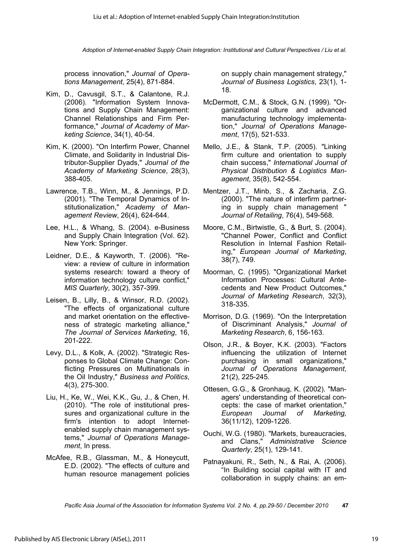process innovation," *Journal of Operations Management*, 25(4), 871-884.

- Kim, D., Cavusgil, S.T., & Calantone, R.J. (2006). "Information System Innovations and Supply Chain Management: Channel Relationships and Firm Performance," *Journal of Academy of Marketing Science*, 34(1), 40-54.
- Kim, K. (2000). "On Interfirm Power, Channel Climate, and Solidarity in Industrial Distributor-Supplier Dyads," *Journal of the Academy of Marketing Science*, 28(3), 388-405.
- Lawrence, T.B., Winn, M., & Jennings, P.D. (2001). "The Temporal Dynamics of Institutionalization," *Academy of Management Review*, 26(4), 624-644.
- Lee, H.L., & Whang, S. (2004). e-Business and Supply Chain Integration (Vol. 62). New York: Springer.
- Leidner, D.E., & Kayworth, T. (2006). "Review: a review of culture in information systems research: toward a theory of information technology culture conflict," *MIS Quarterly*, 30(2), 357-399.
- Leisen, B., Lilly, B., & Winsor, R.D. (2002). "The effects of organizational culture and market orientation on the effectiveness of strategic marketing alliance," *The Journal of Services Marketing*, 16, 201-222.
- Levy, D.L., & Kolk, A. (2002). "Strategic Responses to Global Climate Change: Conflicting Pressures on Multinationals in the Oil Industry," *Business and Politics*, 4(3), 275-300.
- Liu, H., Ke, W., Wei, K.K., Gu, J., & Chen, H. (2010). "The role of institutional pressures and organizational culture in the firm's intention to adopt Internetenabled supply chain management systems," *Journal of Operations Management*, In press.
- McAfee, R.B., Glassman, M., & Honeycutt, E.D. (2002). "The effects of culture and human resource management policies

on supply chain management strategy," *Journal of Business Logistics*, 23(1), 1- 18.

- McDermott, C.M., & Stock, G.N. (1999). "Organizational culture and advanced manufacturing technology implementation," *Journal of Operations Management*, 17(5), 521-533.
- Mello, J.E., & Stank, T.P. (2005). "Linking firm culture and orientation to supply chain success," *International Journal of Physical Distribution & Logistics Management*, 35(8), 542-554.
- Mentzer, J.T., Minb, S., & Zacharia, Z.G. (2000). "The nature of interfirm partnering in supply chain management " *Journal of Retailing*, 76(4), 549-568.
- Moore, C.M., Birtwistle, G., & Burt, S. (2004). "Channel Power, Conflict and Conflict Resolution in Internal Fashion Retailing," *European Journal of Marketing*, 38(7), 749.
- Moorman, C. (1995). "Organizational Market Information Processes: Cultural Antecedents and New Product Outcomes," *Journal of Marketing Research*, 32(3), 318-335.
- Morrison, D.G. (1969). "On the Interpretation of Discriminant Analysis," *Journal of Marketing Research*, 6, 156-163.
- Olson, J.R., & Boyer, K.K. (2003). "Factors influencing the utilization of Internet purchasing in small organizations," *Journal of Operations Management*, 21(2), 225-245.
- Ottesen, G.G., & Gronhaug, K. (2002). "Managers' understanding of theoretical concepts: the case of market orientation," *European Journal of Marketing,* 36(11/12), 1209-1226.
- Ouchi, W.G. (1980). "Markets, bureaucracies, and Clans," *Administrative Science Quarterly*, 25(1), 129-141.
- Patnayakuni, R., Seth, N., & Rai, A. (2006). "In Building social capital with IT and collaboration in supply chains: an em-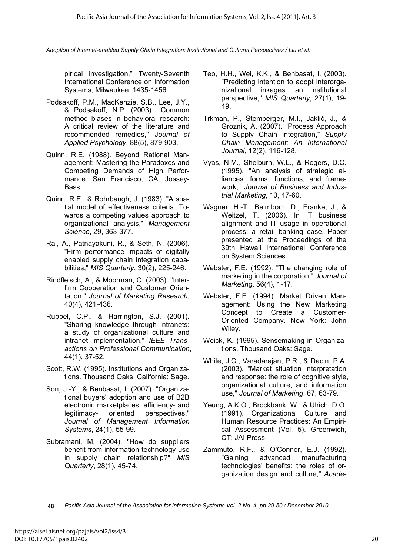pirical investigation," Twenty-Seventh International Conference on Information Systems, Milwaukee, 1435-1456

- Podsakoff, P.M., MacKenzie, S.B., Lee, J.Y., & Podsakoff, N.P. (2003). "Common method biases in behavioral research: A critical review of the literature and recommended remedies," J*ournal of Applied Psychology*, 88(5), 879-903.
- Quinn, R.E. (1988). Beyond Rational Management: Mastering the Paradoxes and Competing Demands of High Performance. San Francisco, CA: Jossey-Bass.
- Quinn, R.E., & Rohrbaugh, J. (1983). "A spatial model of effectiveness criteria: Towards a competing values approach to organizational analysis," *Management Science*, 29, 363-377.
- Rai, A., Patnayakuni, R., & Seth, N. (2006). "Firm performance impacts of digitally enabled supply chain integration capabilities," *MIS Quarterly*, 30(2), 225-246.
- Rindfleisch, A., & Moorman, C. (2003). "Interfirm Cooperation and Customer Orientation," *Journal of Marketing Research*, 40(4), 421-436.
- Ruppel, C.P., & Harrington, S.J. (2001). "Sharing knowledge through intranets: a study of organizational culture and intranet implementation," *IEEE Transactions on Professional Communication*, 44(1), 37-52.
- Scott, R.W. (1995). Institutions and Organizations. Thousand Oaks, California: Sage.
- Son, J.-Y., & Benbasat, I. (2007). "Organizational buyers' adoption and use of B2B electronic marketplaces: efficiency- and legitimacy- oriented perspectives," *Journal of Management Information Systems*, 24(1), 55-99.
- Subramani, M. (2004). "How do suppliers benefit from information technology use in supply chain relationship?" *MIS Quarterly*, 28(1), 45-74.
- Teo, H.H., Wei, K.K., & Benbasat, I. (2003). "Predicting intention to adopt interorganizational linkages: an institutional perspective," *MIS Quarterly*, 27(1), 19- 49.
- Trkman, P., Štemberger, M.I., Jaklič, J., & Groznik, A. (2007). "Process Approach to Supply Chain Integration," *Supply Chain Management: An International Journal,* 12(2), 116-128.
- Vyas, N.M., Shelburn, W.L., & Rogers, D.C. (1995). "An analysis of strategic alliances: forms, functions, and framework," *Journal of Business and Industrial Marketing*, 10, 47-60.
- Wagner, H.-T., Beimborn, D., Franke, J., & Weitzel, T. (2006). In IT business alignment and IT usage in operational process: a retail banking case. Paper presented at the Proceedings of the 39th Hawaii International Conference on System Sciences.
- Webster, F.E. (1992). "The changing role of marketing in the corporation," *Journal of Marketing*, 56(4), 1-17.
- Webster, F.E. (1994). Market Driven Management: Using the New Marketing Concept to Create a Customer-Oriented Company. New York: John Wiley.
- Weick, K. (1995). Sensemaking in Organizations. Thousand Oaks: Sage.
- White, J.C., Varadarajan, P.R., & Dacin, P.A. (2003). "Market situation interpretation and response: the role of cognitive style, organizational culture, and information use," *Journal of Marketing*, 67, 63-79.
- Yeung, A.K.O., Brockbank, W., & Ulrich, D.O. (1991). Organizational Culture and Human Resource Practices: An Empirical Assessment (Vol. 5). Greenwich, CT: JAI Press.
- Zammuto, R.F., & O'Connor, E.J. (1992). "Gaining advanced manufacturing technologies' benefits: the roles of organization design and culture," *Acade-*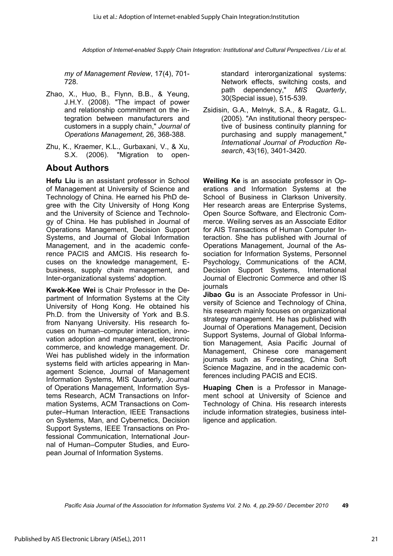*my of Management Review*, 17(4), 701- 728.

- Zhao, X., Huo, B., Flynn, B.B., & Yeung, J.H.Y. (2008). "The impact of power and relationship commitment on the integration between manufacturers and customers in a supply chain," *Journal of Operations Management*, 26, 368-388.
- Zhu, K., Kraemer, K.L., Gurbaxani, V., & Xu, S.X. (2006). "Migration to open-

## **About Authors**

**Hefu Liu** is an assistant professor in School of Management at University of Science and Technology of China. He earned his PhD degree with the City University of Hong Kong and the University of Science and Technology of China. He has published in Journal of Operations Management, Decision Support Systems, and Journal of Global Information Management, and in the academic conference PACIS and AMCIS. His research focuses on the knowledge management, Ebusiness, supply chain management, and Inter-organizational systems' adoption.

**Kwok-Kee Wei** is Chair Professor in the Department of Information Systems at the City University of Hong Kong. He obtained his Ph.D. from the University of York and B.S. from Nanyang University. His research focuses on human–computer interaction, innovation adoption and management, electronic commerce, and knowledge management. Dr. Wei has published widely in the information systems field with articles appearing in Management Science, Journal of Management Information Systems, MIS Quarterly, Journal of Operations Management, Information Systems Research, ACM Transactions on Information Systems, ACM Transactions on Computer–Human Interaction, IEEE Transactions on Systems, Man, and Cybernetics, Decision Support Systems, IEEE Transactions on Professional Communication, International Journal of Human–Computer Studies, and European Journal of Information Systems.

standard interorganizational systems: Network effects, switching costs, and path dependency," *MIS Quarterly*, 30(Special issue), 515-539.

Zsidisin, G.A., Melnyk, S.A., & Ragatz, G.L. (2005). "An institutional theory perspective of business continuity planning for purchasing and supply management," *International Journal of Production Research*, 43(16), 3401-3420.

**Weiling Ke** is an associate professor in Operations and Information Systems at the School of Business in Clarkson University. Her research areas are Enterprise Systems, Open Source Software, and Electronic Commerce. Weiling serves as an Associate Editor for AIS Transactions of Human Computer Interaction. She has published with Journal of Operations Management, Journal of the Association for Information Systems, Personnel Psychology, Communications of the ACM, Decision Support Systems, International Journal of Electronic Commerce and other IS journals

**Jibao Gu** is an Associate Professor in University of Science and Technology of China, his research mainly focuses on organizational strategy management. He has published with Journal of Operations Management, Decision Support Systems, Journal of Global Information Management, Asia Pacific Journal of Management, Chinese core management journals such as Forecasting, China Soft Science Magazine, and in the academic conferences including PACIS and ECIS.

**Huaping Chen** is a Professor in Management school at University of Science and Technology of China. His research interests include information strategies, business intelligence and application.